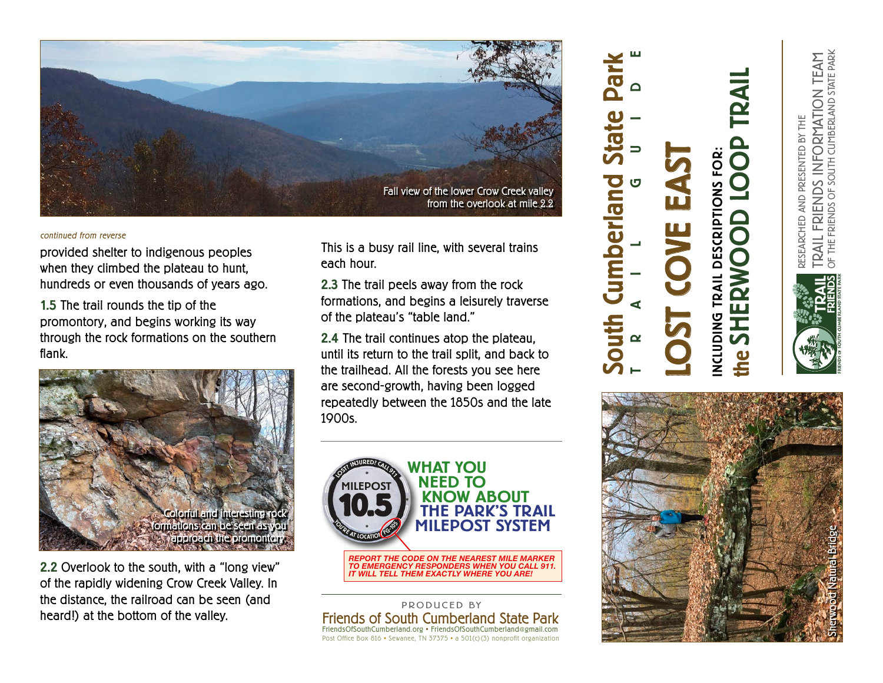

## continued from reverse

provided shelter to indigenous peoples when they climbed the plateau to hunt, hundreds or even thousands of years ago.

1.5 The trail rounds the tip of the promontory, and begins working its way through the rock formations on the southern flank.



2.2 Overlook to the south, with a "long view" of the rapidly widening Crow Creek Valley. In the distance, the railroad can be seen (and heard!) at the bottom of the valley.

This is a busy rail line, with several trains each hour.

2.3 The trail peels away from the rock formations, and begins a leisurely traverse of the plateau's "table land."

2.4 The trail continues atop the plateau, until its return to the trail split, and back to the trailhead. All the forests you see here are second-growth, having been logged repeatedly between the 1850s and the late 1900s.



Friends of South Cumberland State Park FriendsOfSouthCumberland.org • FriendsOfSouthCumberland@gmail.com Post Office Box 816 • Sewanee, TN 37375 • a 501(c)(3) nonprofit organization PRODUCED BY

TRAIL GUIDE South Cumberland State Park LOST COVE EAST perland



NCLUDING TRAIL DESCRIPTIONS FOR

 $\mathbf{\widetilde{R}}$